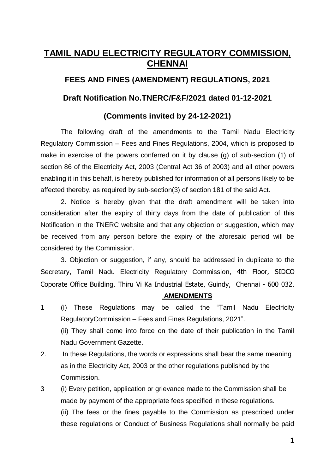# **TAMIL NADU ELECTRICITY REGULATORY COMMISSION, CHENNAI**

# **FEES AND FINES (AMENDMENT) REGULATIONS, 2021**

# **Draft Notification No.TNERC/F&F/2021 dated 01-12-2021**

# **(Comments invited by 24-12-2021)**

The following draft of the amendments to the Tamil Nadu Electricity Regulatory Commission – Fees and Fines Regulations, 2004, which is proposed to make in exercise of the powers conferred on it by clause (g) of sub-section (1) of section 86 of the Electricity Act, 2003 (Central Act 36 of 2003) and all other powers enabling it in this behalf, is hereby published for information of all persons likely to be affected thereby, as required by sub-section(3) of section 181 of the said Act.

2. Notice is hereby given that the draft amendment will be taken into consideration after the expiry of thirty days from the date of publication of this Notification in the TNERC website and that any objection or suggestion, which may be received from any person before the expiry of the aforesaid period will be considered by the Commission.

3. Objection or suggestion, if any, should be addressed in duplicate to the Secretary, Tamil Nadu Electricity Regulatory Commission, 4th Floor, SIDCO Coporate Office Building, Thiru Vi Ka Industrial Estate, Guindy, Chennai - 600 032.

#### **AMENDMENTS**

- 1 (i) These Regulations may be called the "Tamil Nadu Electricity RegulatoryCommission – Fees and Fines Regulations, 2021". (ii) They shall come into force on the date of their publication in the Tamil Nadu Government Gazette.
- 2. In these Regulations, the words or expressions shall bear the same meaning as in the Electricity Act, 2003 or the other regulations published by the Commission.
- 3 (i) Every petition, application or grievance made to the Commission shall be made by payment of the appropriate fees specified in these regulations. (ii) The fees or the fines payable to the Commission as prescribed under these regulations or Conduct of Business Regulations shall normally be paid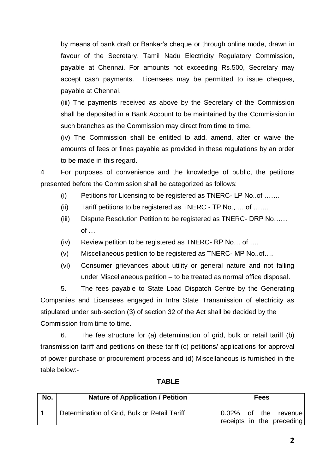by means of bank draft or Banker's cheque or through online mode, drawn in favour of the Secretary, Tamil Nadu Electricity Regulatory Commission, payable at Chennai. For amounts not exceeding Rs.500, Secretary may accept cash payments. Licensees may be permitted to issue cheques, payable at Chennai.

(iii) The payments received as above by the Secretary of the Commission shall be deposited in a Bank Account to be maintained by the Commission in such branches as the Commission may direct from time to time.

(iv) The Commission shall be entitled to add, amend, alter or waive the amounts of fees or fines payable as provided in these regulations by an order to be made in this regard.

4 For purposes of convenience and the knowledge of public, the petitions presented before the Commission shall be categorized as follows:

- (i) Petitions for Licensing to be registered as TNERC- LP No..of …….
- (ii) Tariff petitions to be registered as TNERC TP No., … of …….
- (iii) Dispute Resolution Petition to be registered as TNERC- DRP No…… of …
- (iv) Review petition to be registered as TNERC- RP No… of ….
- (v) Miscellaneous petition to be registered as TNERC- MP No..of….
- (vi) Consumer grievances about utility or general nature and not falling under Miscellaneous petition – to be treated as normal office disposal.

5. The fees payable to State Load Dispatch Centre by the Generating Companies and Licensees engaged in Intra State Transmission of electricity as stipulated under sub-section (3) of section 32 of the Act shall be decided by the Commission from time to time.

6. The fee structure for (a) determination of grid, bulk or retail tariff (b) transmission tariff and petitions on these tariff (c) petitions/ applications for approval of power purchase or procurement process and (d) Miscellaneous is furnished in the table below:-

| No. | <b>Nature of Application / Petition</b>      | <b>Fees</b> |  |  |                                                   |
|-----|----------------------------------------------|-------------|--|--|---------------------------------------------------|
|     | Determination of Grid, Bulk or Retail Tariff |             |  |  | 0.02% of the revenue<br>receipts in the preceding |

# **TABLE**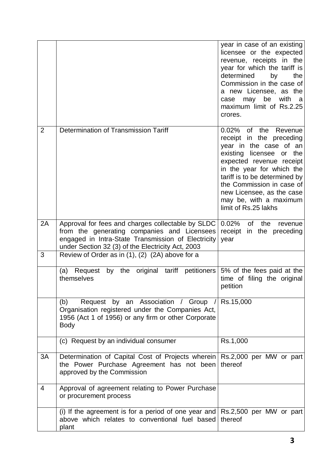|                |                                                                                                                                                                                                             | year in case of an existing<br>licensee or the expected<br>revenue, receipts in the<br>year for which the tariff is<br>determined<br>by<br>the<br>Commission in the case of<br>a new Licensee, as the<br>be<br>with<br>may<br>case<br>- a<br>maximum limit of Rs.2.25<br>crores.                                         |
|----------------|-------------------------------------------------------------------------------------------------------------------------------------------------------------------------------------------------------------|--------------------------------------------------------------------------------------------------------------------------------------------------------------------------------------------------------------------------------------------------------------------------------------------------------------------------|
| $\overline{2}$ | Determination of Transmission Tariff                                                                                                                                                                        | $0.02\%$ of<br>the<br>Revenue<br>receipt in the preceding<br>year in the case of an<br>existing licensee or<br>the<br>expected revenue receipt<br>in the year for which the<br>tariff is to be determined by<br>the Commission in case of<br>new Licensee, as the case<br>may be, with a maximum<br>limit of Rs.25 lakhs |
| 2A             | Approval for fees and charges collectable by SLDC<br>from the generating companies and Licensees<br>engaged in Intra-State Transmission of Electricity<br>under Section 32 (3) of the Electricity Act, 2003 | 0.02%<br>of<br>the<br>revenue<br>receipt in the preceding<br>year                                                                                                                                                                                                                                                        |
| 3              | Review of Order as in (1), (2) (2A) above for a                                                                                                                                                             |                                                                                                                                                                                                                                                                                                                          |
|                | by the original tariff petitioners<br>Request<br>(a)<br>themselves                                                                                                                                          | 5% of the fees paid at the<br>time of filing the original<br>petition                                                                                                                                                                                                                                                    |
|                | Request by an Association / Group<br>(b)<br>Organisation registered under the Companies Act,<br>1956 (Act 1 of 1956) or any firm or other Corporate<br><b>Body</b>                                          | Rs.15,000                                                                                                                                                                                                                                                                                                                |
|                | (c) Request by an individual consumer                                                                                                                                                                       | Rs.1,000                                                                                                                                                                                                                                                                                                                 |
| 3A             | Determination of Capital Cost of Projects wherein Rs.2,000 per MW or part<br>the Power Purchase Agreement has not been<br>approved by the Commission                                                        | thereof                                                                                                                                                                                                                                                                                                                  |
| 4              | Approval of agreement relating to Power Purchase<br>or procurement process                                                                                                                                  |                                                                                                                                                                                                                                                                                                                          |
|                | (i) If the agreement is for a period of one year and $\vert$ Rs.2,500 per MW or part<br>above which relates to conventional fuel based<br>plant                                                             | thereof                                                                                                                                                                                                                                                                                                                  |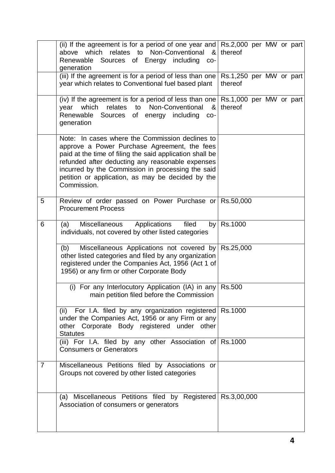|                | (ii) If the agreement is for a period of one year and $\vert$ Rs.2,000 per MW or part<br>Non-Conventional<br>above which<br>relates to<br>&।<br>Renewable Sources of Energy including<br>CO-<br>generation                                                                                                                               | thereof    |  |  |
|----------------|------------------------------------------------------------------------------------------------------------------------------------------------------------------------------------------------------------------------------------------------------------------------------------------------------------------------------------------|------------|--|--|
|                | (iii) If the agreement is for a period of less than one $\vert$ Rs.1,250 per MW or part<br>year which relates to Conventional fuel based plant                                                                                                                                                                                           | thereof    |  |  |
|                | (iv) If the agreement is for a period of less than one $\vert$ Rs.1,000 per MW or part<br>relates to Non-Conventional<br>which<br>year<br>&<br>Renewable<br>Sources of energy including<br>$CO-$<br>generation                                                                                                                           | thereof    |  |  |
|                | Note: In cases where the Commission declines to<br>approve a Power Purchase Agreement, the fees<br>paid at the time of filing the said application shall be<br>refunded after deducting any reasonable expenses<br>incurred by the Commission in processing the said<br>petition or application, as may be decided by the<br>Commission. |            |  |  |
| 5              | Review of order passed on Power Purchase or Rs.50,000<br><b>Procurement Process</b>                                                                                                                                                                                                                                                      |            |  |  |
| 6              | filed<br>Miscellaneous Applications<br>(a)<br>individuals, not covered by other listed categories                                                                                                                                                                                                                                        | by Rs.1000 |  |  |
|                | Miscellaneous Applications not covered by Rs.25,000<br>(b)<br>other listed categories and filed by any organization<br>registered under the Companies Act, 1956 (Act 1 of<br>1956) or any firm or other Corporate Body                                                                                                                   |            |  |  |
|                | (i) For any Interlocutory Application (IA) in any Rs.500<br>main petition filed before the Commission                                                                                                                                                                                                                                    |            |  |  |
|                | (ii) For I.A. filed by any organization registered Rs.1000<br>under the Companies Act, 1956 or any Firm or any<br>other Corporate Body registered under other<br><b>Statutes</b>                                                                                                                                                         |            |  |  |
|                | (iii) For I.A. filed by any other Association of $\sqrt{R}$ Rs.1000<br><b>Consumers or Generators</b>                                                                                                                                                                                                                                    |            |  |  |
| $\overline{7}$ | Miscellaneous Petitions filed by Associations or<br>Groups not covered by other listed categories                                                                                                                                                                                                                                        |            |  |  |
|                | (a) Miscellaneous Petitions filed by Registered Rs.3,00,000<br>Association of consumers or generators                                                                                                                                                                                                                                    |            |  |  |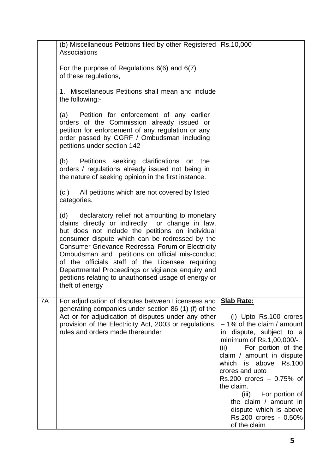|    | (b) Miscellaneous Petitions filed by other Registered Rs.10,000<br>Associations                                                                                                                                                                                                                                                                                                                                                                                                                               |                                                                                                                                                                                                                                                                                                                                                                                                                              |
|----|---------------------------------------------------------------------------------------------------------------------------------------------------------------------------------------------------------------------------------------------------------------------------------------------------------------------------------------------------------------------------------------------------------------------------------------------------------------------------------------------------------------|------------------------------------------------------------------------------------------------------------------------------------------------------------------------------------------------------------------------------------------------------------------------------------------------------------------------------------------------------------------------------------------------------------------------------|
|    | For the purpose of Regulations $6(6)$ and $6(7)$<br>of these regulations,                                                                                                                                                                                                                                                                                                                                                                                                                                     |                                                                                                                                                                                                                                                                                                                                                                                                                              |
|    | 1. Miscellaneous Petitions shall mean and include<br>the following:-                                                                                                                                                                                                                                                                                                                                                                                                                                          |                                                                                                                                                                                                                                                                                                                                                                                                                              |
|    | Petition for enforcement of any earlier<br>(a)<br>orders of the Commission already issued or<br>petition for enforcement of any regulation or any<br>order passed by CGRF / Ombudsman including<br>petitions under section 142                                                                                                                                                                                                                                                                                |                                                                                                                                                                                                                                                                                                                                                                                                                              |
|    | Petitions seeking clarifications on the<br>(b)<br>orders / regulations already issued not being in<br>the nature of seeking opinion in the first instance.                                                                                                                                                                                                                                                                                                                                                    |                                                                                                                                                                                                                                                                                                                                                                                                                              |
|    | All petitions which are not covered by listed<br>(c)<br>categories.                                                                                                                                                                                                                                                                                                                                                                                                                                           |                                                                                                                                                                                                                                                                                                                                                                                                                              |
|    | (d) declaratory relief not amounting to monetary<br>claims directly or indirectly or change in law,<br>but does not include the petitions on individual<br>consumer dispute which can be redressed by the<br><b>Consumer Grievance Redressal Forum or Electricity</b><br>Ombudsman and petitions on official mis-conduct<br>of the officials staff of the Licensee requiring<br>Departmental Proceedings or vigilance enquiry and<br>petitions relating to unauthorised usage of energy or<br>theft of energy |                                                                                                                                                                                                                                                                                                                                                                                                                              |
| 7A | For adjudication of disputes between Licensees and<br>generating companies under section 86 (1) (f) of the<br>Act or for adjudication of disputes under any other<br>provision of the Electricity Act, 2003 or regulations,<br>rules and orders made thereunder                                                                                                                                                                                                                                               | <b>Slab Rate:</b><br>(i) Upto Rs.100 crores<br>$-1\%$ of the claim / amount<br>in dispute, subject to a<br>minimum of Rs.1,00,000/-.<br>For portion of the<br>(ii)<br>claim / amount in dispute<br>above<br><b>Rs.100</b><br>which<br>is<br>crores and upto<br>$Rs.200$ crores $-0.75%$ of<br>the claim.<br>(iii) For portion of<br>the claim / amount in<br>dispute which is above<br>Rs.200 crores - 0.50%<br>of the claim |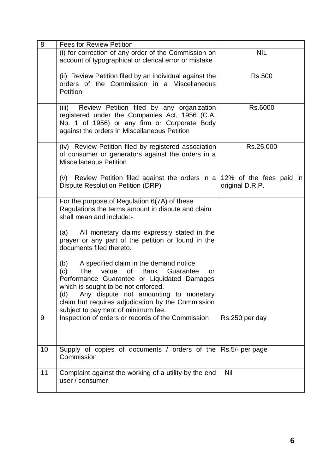| 8  | <b>Fees for Review Petition</b>                                                                                                                                                                                                                                                                                                           |                 |
|----|-------------------------------------------------------------------------------------------------------------------------------------------------------------------------------------------------------------------------------------------------------------------------------------------------------------------------------------------|-----------------|
|    | (i) for correction of any order of the Commission on<br>account of typographical or clerical error or mistake                                                                                                                                                                                                                             | <b>NIL</b>      |
|    | (ii) Review Petition filed by an individual against the<br>orders of the Commission in a Miscellaneous<br>Petition                                                                                                                                                                                                                        | <b>Rs.500</b>   |
|    | (iii)<br>Review Petition filed by any organization<br>registered under the Companies Act, 1956 (C.A.<br>No. 1 of 1956) or any firm or Corporate Body<br>against the orders in Miscellaneous Petition                                                                                                                                      | Rs.6000         |
|    | (iv) Review Petition filed by registered association<br>of consumer or generators against the orders in a<br><b>Miscellaneous Petition</b>                                                                                                                                                                                                | Rs.25,000       |
|    | (v) Review Petition filed against the orders in a $12\%$ of the fees paid in<br><b>Dispute Resolution Petition (DRP)</b>                                                                                                                                                                                                                  | original D.R.P. |
|    | For the purpose of Regulation 6(7A) of these<br>Regulations the terms amount in dispute and claim<br>shall mean and include:-                                                                                                                                                                                                             |                 |
|    | All monetary claims expressly stated in the<br>(a)<br>prayer or any part of the petition or found in the<br>documents filed thereto.                                                                                                                                                                                                      |                 |
|    | A specified claim in the demand notice.<br>(b)<br>(c)<br>The<br>value<br>of l<br>Bank<br>Guarantee<br>or<br>Performance Guarantee or Liquidated Damages<br>which is sought to be not enforced.<br>(d)<br>Any dispute not amounting to monetary<br>claim but requires adjudication by the Commission<br>subject to payment of minimum fee. |                 |
| 9  | Inspection of orders or records of the Commission                                                                                                                                                                                                                                                                                         | Rs.250 per day  |
| 10 | Supply of copies of documents / orders of the<br>Commission                                                                                                                                                                                                                                                                               | Rs.5/- per page |
| 11 | Complaint against the working of a utility by the end<br>user / consumer                                                                                                                                                                                                                                                                  | <b>Nil</b>      |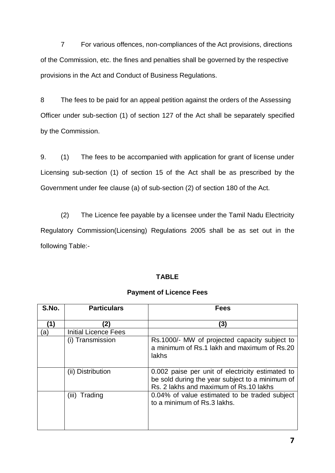7 For various offences, non-compliances of the Act provisions, directions of the Commission, etc. the fines and penalties shall be governed by the respective provisions in the Act and Conduct of Business Regulations.

8 The fees to be paid for an appeal petition against the orders of the Assessing Officer under sub-section (1) of section 127 of the Act shall be separately specified by the Commission.

9. (1) The fees to be accompanied with application for grant of license under Licensing sub-section (1) of section 15 of the Act shall be as prescribed by the Government under fee clause (a) of sub-section (2) of section 180 of the Act.

(2) The Licence fee payable by a licensee under the Tamil Nadu Electricity Regulatory Commission(Licensing) Regulations 2005 shall be as set out in the following Table:-

#### **TABLE**

### **Payment of Licence Fees**

| S.No. | <b>Particulars</b>          | <b>Fees</b>                                                                                                                                    |
|-------|-----------------------------|------------------------------------------------------------------------------------------------------------------------------------------------|
| (1)   | (2)                         | (3)                                                                                                                                            |
| 'a)   | <b>Initial Licence Fees</b> |                                                                                                                                                |
|       | (i) Transmission            | Rs.1000/- MW of projected capacity subject to<br>a minimum of Rs.1 lakh and maximum of Rs.20<br>lakhs                                          |
|       | (ii) Distribution           | 0.002 paise per unit of electricity estimated to<br>be sold during the year subject to a minimum of<br>Rs. 2 lakhs and maximum of Rs. 10 lakhs |
|       | (iii) Trading               | 0.04% of value estimated to be traded subject<br>to a minimum of Rs.3 lakhs.                                                                   |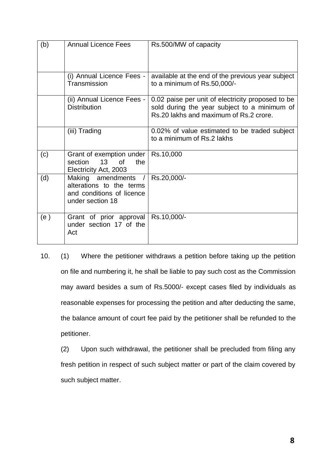| (b) | <b>Annual Licence Fees</b>                                                                     | Rs.500/MW of capacity                                                                                                                       |
|-----|------------------------------------------------------------------------------------------------|---------------------------------------------------------------------------------------------------------------------------------------------|
|     | (i) Annual Licence Fees -<br>Transmission                                                      | available at the end of the previous year subject<br>to a minimum of Rs.50,000/-                                                            |
|     | (ii) Annual Licence Fees -<br><b>Distribution</b>                                              | 0.02 paise per unit of electricity proposed to be<br>sold during the year subject to a minimum of<br>Rs.20 lakhs and maximum of Rs.2 crore. |
|     | (iii) Trading                                                                                  | 0.02% of value estimated to be traded subject<br>to a minimum of Rs.2 lakhs                                                                 |
| (c) | Grant of exemption under<br>section<br>13 <sup>7</sup><br>of<br>the<br>Electricity Act, 2003   | Rs.10,000                                                                                                                                   |
| (d) | Making amendments<br>alterations to the terms<br>and conditions of licence<br>under section 18 | Rs.20,000/-                                                                                                                                 |
| (e) | Grant of prior approval<br>under section 17 of the<br>Act                                      | Rs.10,000/-                                                                                                                                 |

10. (1) Where the petitioner withdraws a petition before taking up the petition on file and numbering it, he shall be liable to pay such cost as the Commission may award besides a sum of Rs.5000/- except cases filed by individuals as reasonable expenses for processing the petition and after deducting the same, the balance amount of court fee paid by the petitioner shall be refunded to the petitioner.

(2) Upon such withdrawal, the petitioner shall be precluded from filing any fresh petition in respect of such subject matter or part of the claim covered by such subject matter.